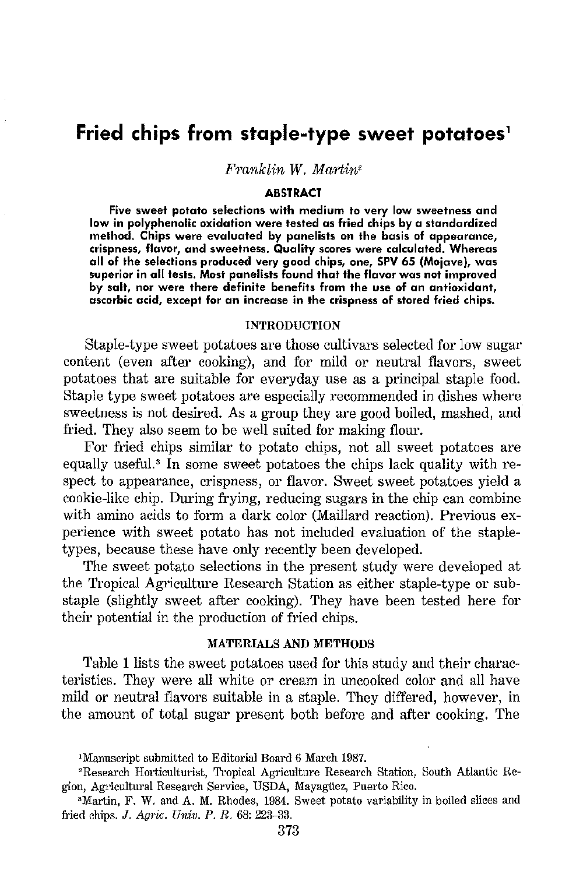# **Fried chips from staple-type sweet potatoes'**

 $Franklin W. Martin<sup>2</sup>$ 

#### **ABSTRACT**

**Five sweet potato selections with medium to very low sweetness and low in polyphenolic oxidation were tested as fried chips by a standardized method. Chips were evaluated by panelists on the basis of appearance, crispness, flavor, and sweetness. Quality scores were calculated. Whereas all of the selections produced very good chips, one, SPV 65 {Mojave), was superior in all tests, Most panelists found that the flavor was not improved by salt, nor were there definite benefits from the use of an antioxidant, ascorbic acid, except for an increase in the crispness of stored fried chips.** 

#### **INTRODUCTION**

Staple-type sweet potatoes are those cultivars selected for low sugar content (even after cooking), and for mild or neutral flavors, sweet potatoes that are suitable for everyday use as a principal staple food. Staple type sweet potatoes are especially recommended in dishes where sweetness is not desired. As a group they are good boiled, mashed, and fried. They also seem to be well suited for making flour.

For fried chips similar to potato chips, not all sweet potatoes are equally useful.' In some sweet potatoes the chips lack quality with respect to appearance, crispness, or flavor. Sweet sweet potatoes yield a cookie-like chip. During frying, reducing sugars in the chip can combine with amino acids to form a dark color (Maillard reaction). Previous experience with sweet potato has not included evaluation of the stapletypes, because these have only recently been developed.

The sweet potato selections in the present study were developed at the Tropical Agriculture Research Station as either staple-type or substaple (slightly sweet after cooking). They have been tested here for their potential in the production of fried chips.

## MATERIALS AND METHODS

Table 1 lists the sweet potatoes used for this study and their characteristics. They were all white or cream in uncooked color and all have mild or neutral flavors suitable in a staple. They differed, however, in the amount of total sugar present both before and after cooking. The

<sup>&</sup>lt;sup>1</sup>Manuscript submitted to Editorial Board 6 March 1987.<br><sup>2</sup>Research Horticulturist, Tropical Agriculture Research Station, South Atlantic Region, Agricultural Research Service, USDA, Mayagüez, Puerto Rico.<br>3Martin, F. W. and A. M. Rhodes, 1984. Sweet potato variability in boiled slices and

fried chips. J. *Agric. Univ. P. R.* 68: 223-33.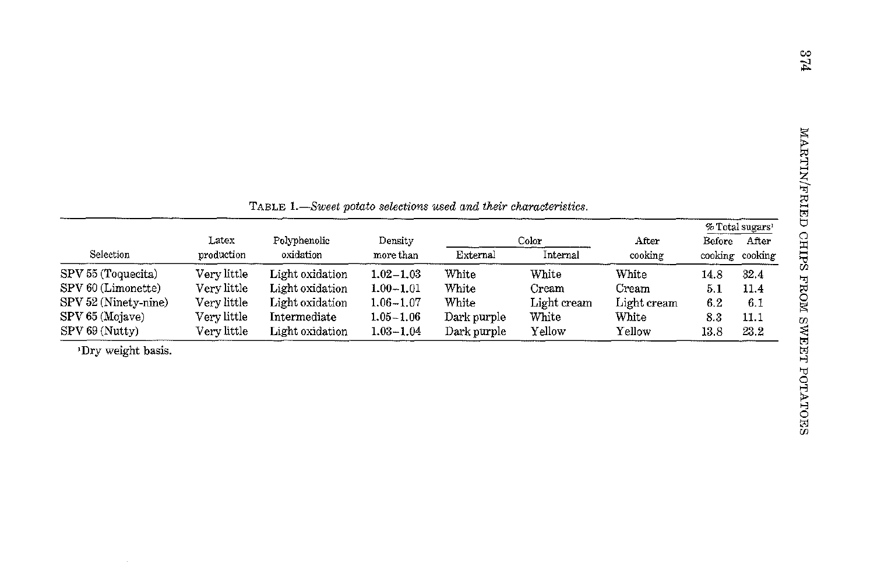| Selection            | Latex<br>production | TABLE 1.—Sweet potato selections used and their characteristics.<br>Polyphenolic<br>oxidation | Density<br>more than | External    | Color<br>Internal | After<br>cooking | Before<br>cooking cooking | % Total sugars <sup>1</sup><br>After |
|----------------------|---------------------|-----------------------------------------------------------------------------------------------|----------------------|-------------|-------------------|------------------|---------------------------|--------------------------------------|
| SPV 55 (Toquecita)   | Verv little         | Light oxidation                                                                               | $1.02 - 1.03$        | White       | White             | White            | 14.8                      | 32.4                                 |
| SPV 60 (Limonette)   | Very little         | Light oxidation                                                                               | $1.00 - 1.01$        | White       | Cream             | Cream            | 5.1                       | 11.4                                 |
| SPV 52 (Ninety-nine) | Very little         | Light oxidation                                                                               | $1.06 - 1.07$        | White       | Light cream       | Light cream      | 6.2                       | 6.1                                  |
| SPV 65 (Mojave)      | Verv little         | Intermediate                                                                                  | $1.05 - 1.06$        | Dark purple | White             | White            | 8.3                       | 11.1                                 |
| SPV 69 (Nutty)       | Verv little         | Light oxidation                                                                               | $1.03 - 1.04$        | Dark purple | Yellow            | Yellow           | 13.8                      | 23.2                                 |
| 'Dry weight basis.   |                     |                                                                                               |                      |             |                   |                  |                           |                                      |

 $^{\rm 1Dry}$  weight basis.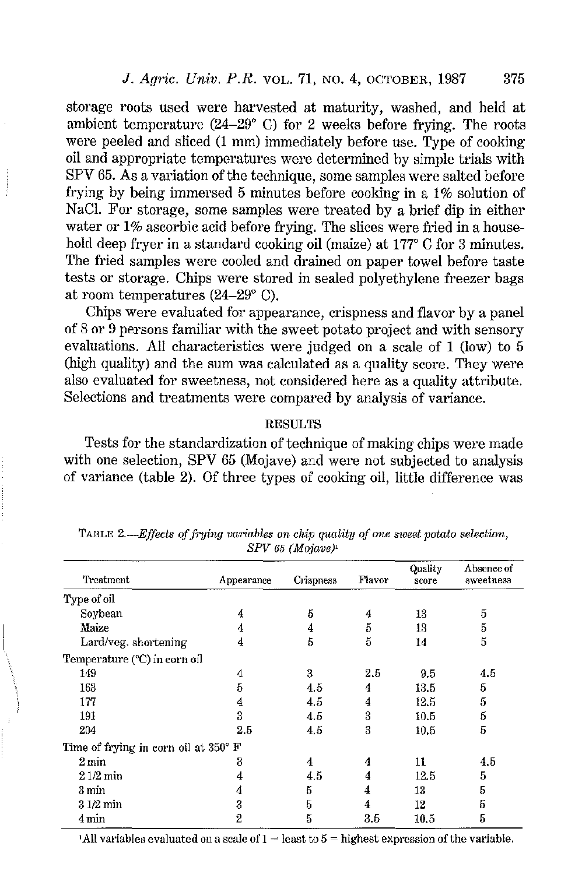storage roots used were harvested at maturity, washed, and held at ambient temperature (24-29" C) for 2 weeks before frying. The roots were peeled and sliced (1 mm) immediately before use. Type of cooking oil and appropriate temperatures were determined by simple trials with SPV 65. As a variation of the technique, some samples were salted before frying by being immersed 5 minutes before cooking in a 1% solution of NaCI. For storage, some samples were treated by a brief dip in either water or 1% ascorbic acid before frying. The slices were fried in a household deep fryer in a standard cooking oil (maize) at 177° C for 3 minutes. The fried samples were cooled and drained on paper towel before taste tests or storage. Chips were stored in sealed polyethylene freezer bags at room temperatures (24-29" C).

Chips were evaluated for appearance, crispness and flavor by a panel of 8 or 9 persons familiar with the sweet potato project and with sensory evaluations. All characteristics were judged on a scale of 1 (low) to 5 (high quality) and the sum was calculated as a quality score. They were also evaluated for sweetness, not considered here as a quality attribute. Selections and treatments were compared by analysis of variance.

## RESULTS

Tests for the standardization of technique of making chips were made with one selection, SPV 65 (Mojave) and were not subjected to analysis of variance (table 2). Of three types of cooking oil, little difference was

| Treatment                            | Appearance | Crispness | Flavor | Quality<br>score | Absence of<br>sweetness |
|--------------------------------------|------------|-----------|--------|------------------|-------------------------|
| Type of oil                          |            |           |        |                  |                         |
| Soybean                              | 4          | 5         | 4      | 13               | 5                       |
| Maize                                | 4          | 4         | 5      | 13               | 5                       |
| Lard/veg. shortening                 | 4          | 5         | 5      | 14               | 5                       |
| Temperature (°C) in corn oil         |            |           |        |                  |                         |
| 149                                  | 4          | 3         | 2.5    | 9.5              | 4.5                     |
| 163                                  | 5          | 4.5       | 4      | 13.5             | 5                       |
| 177                                  | 4          | 4.5       | 4      | 12.5             | 5                       |
| 191                                  | 3          | 4.5       | 3      | 10.5             | 5                       |
| 204                                  | 2.5        | 4.5       | 3      | 10.5             | 5                       |
| Time of frying in corn oil at 350° F |            |           |        |                  |                         |
| $2 \,\mathrm{min}$                   | 3          | 4         | 4      | 11               | 4.5                     |
| $21/2$ min                           |            | 4.5       | 4      | 12.5             | 5                       |
| 3 min                                | 4          | 5         | 4      | 13               | 5                       |
| $31/2$ min                           | 3          | 5         | 4      | 12               | 5                       |
| 4 min                                | 2          | Б         | 3.5    | 10.5             | 5                       |

TABLE 2.—*Effects of frying variables on chip quality of one sweet potato selection*, SPV 65 (Mojave)'

<sup>1</sup>All variables evaluated on a scale of  $1 =$  least to  $5 =$  highest expression of the variable.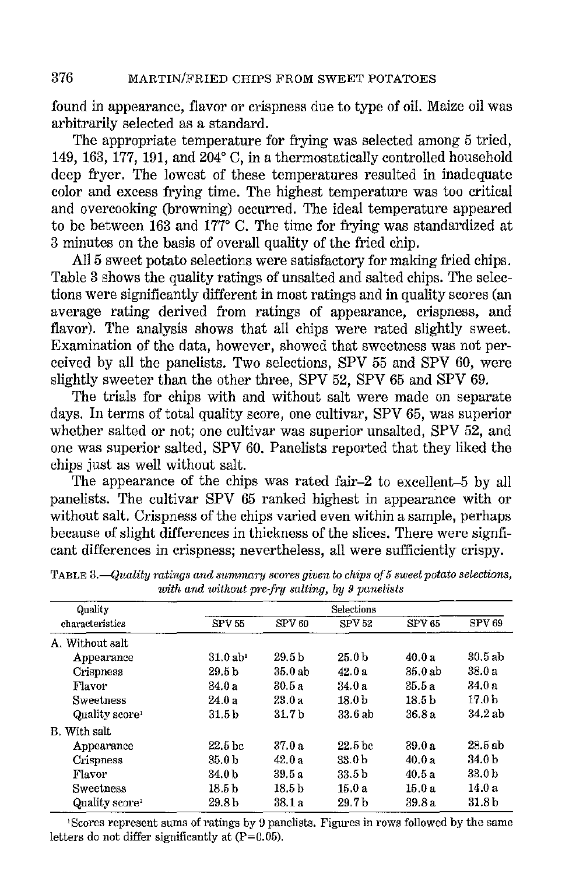found in appearance, flavor or crispness due to type of oil. Maize oil was arbitrarily selected as a standard.

The appropriate temperature for frying was selected among 5 tried, 149, 163, 177, 191, and 204° C, in a thermostatically controlled household deep fryer. The lowest of these temperatures resulted in inadequate color and excess frying time. The highest temperature was too critical and overcooking (browning) occurred. The ideal temperature appeared to be between 163 and 177° C. The time for frying was standardized at 3 minutes on the basis of overall quality of the fried chip.

All 5 sweet potato selections were satisfactory for making fried chips. Table 3 shows the quality ratings of unsalted and salted chips. The selections were significantly different in most ratings and in quality scores (an average rating derived from ratings of appearance, crispness, and flavor). The analysis shows that all chips were rated slightly sweet. Examination of the data, however, showed that sweetness was not perceived by all the panelists. Two selections, SPV 55 and SPV 60, were slightly sweeter than the other three, SPV 52, SPV 65 and SPV 69.

The trials for chips with and without salt were made on separate days. In terms of total quality score, one cultivar, SPV 65, was superior whether salted or not; one cultivar was superior unsalted, SPV 52, and one was superior salted, SPV 60. Panelists reported that they liked the chips just as well without salt.

The appearance of the chips was rated fair-2 to excellent-5 by all panelists. The cultivar SPV 65 ranked highest fn appearance with or without salt. Crispness of the chips varied even within a sample, perhaps because of slight differences in thickness of the slices. There were signficant differences in crispness; nevertheless, all were sufficiently crispy.

| Quality                    |                        |                   | Selections         |                   |                   |
|----------------------------|------------------------|-------------------|--------------------|-------------------|-------------------|
| characteristics            | <b>SPV 55</b>          | SPV <sub>60</sub> | <b>SPV 52</b>      | <b>SPV 65</b>     | SPV <sub>69</sub> |
| A. Without salt            |                        |                   |                    |                   |                   |
| Appearance                 | $31.0$ ab <sup>1</sup> | 29.5 b            | 25.0 <sub>b</sub>  | 40.0a             | 30.5ab            |
| Crispness                  | 29.5 <sub>b</sub>      | 35.0 ab           | 42.0 a             | 35.0ab            | 38.0 a            |
| Flavor                     | 34.0 a                 | 30.5 a            | 34.0 a             | 35.5a             | 34.0 a            |
| <b>Sweetness</b>           | 24.0 a                 | 23.0 a            | 18.0 <sub>b</sub>  | 18.5 <sub>b</sub> | 17.0 <sub>b</sub> |
| Quality score <sup>1</sup> | 31.5 <sub>b</sub>      | 31.7 <sub>b</sub> | 33.6 ab            | 36.8a             | 34.2 ab           |
| B. With salt               |                        |                   |                    |                   |                   |
| Appearance                 | 22.5 <sub>bc</sub>     | 37.0 a            | 22.5 <sub>bc</sub> | 39.0a             | 28.5 ab           |
| Crispness                  | 35.0 <sub>b</sub>      | 42.0a             | 33.0 b             | 40.0a             | 34.0 b            |
| Flavor                     | 34.0 b                 | 39.5 a            | 33.5 b             | 40.5 a            | 33.0 b            |
| Sweetness                  | 18.5 <sub>b</sub>      | 18.5 <sub>b</sub> | 15.0a              | 15.0a             | 14.0a             |
| Quality score              | 29.8 b                 | 38.1 a            | 29.7 <sub>b</sub>  | 39.8a             | 31.8 b            |

**TABLE 3.**—Quality ratings and summary scores given to chips of 5 sweet potato selections, with and without pre-fry salting, by 9 panelists

<sup>1</sup> Scores represent sums of ratings by 9 panelists. Figures in rows followed by the same **letters do not differ significantly at (P=0.05),**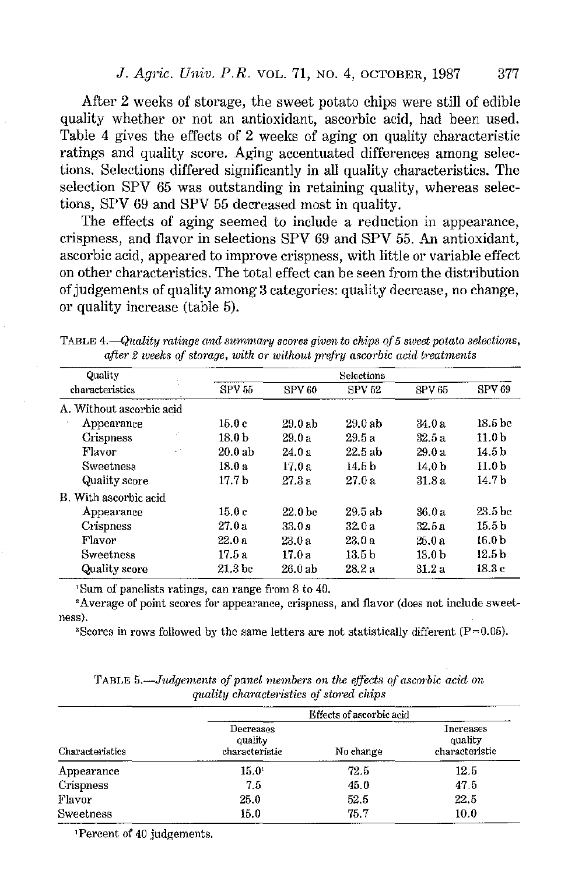After 2 weeks of storage, the sweet potato chips were still of edible quality whether or not an antioxidant, ascorbic acid, had been used. Table 4 gives the effects of 2 weeks of aging on quality characteristic ratings and quality score. Aging accentuated differences among selections. Selections differed significantly in all quality characteristics. The selection SPV 65 was outstanding in retaining quality, whereas selections, SPV 69 and SPV 55 decreased most in quality.

The effects of aging seemed to include a reduction in appearance, crispness, and flavor in selections SPV 69 and SPV 55. An antioxidant, ascorbic acid, appeared to improve crispness, with little or variable effect on other characteristics. The total effect can be seen from the distribution of judgements of quality among 3 categories: quality decrease, no change, or quality increase (table 5).

TABLE 4.--Quality ratings and summary scores given to chips of 5 sweet potato selections, after 2 weeks of storage, with or without prefry ascorbic acid treatments

| Ouality                  |                    |                    | Selections        |                   |                    |
|--------------------------|--------------------|--------------------|-------------------|-------------------|--------------------|
| characteristics          | <b>SPV 55</b>      | <b>SPV60</b>       | <b>SPV 52</b>     | <b>SFV 65</b>     | SPV <sub>69</sub>  |
| A. Without ascorbic acid |                    |                    |                   |                   |                    |
| Appearance               | 15.0 c             | $29.0$ ab          | 29.0ab            | 34.0 a            | 18.5 bc            |
| Crispness                | 18.0 <sub>b</sub>  | 29.0a              | 29.5a             | 32.5a             | 11.0 b             |
| Flavor<br>$\lambda^{-1}$ | 20.0ab             | 24.0 a             | 22.5ab            | 29.0 a            | 14 5 b             |
| <b>Sweetness</b>         | 18 0 a             | 17.0 a             | 14.5 b            | 14.0 <sub>b</sub> | 11.0 <sub>b</sub>  |
| Quality score            | 17.7b              | 27.3a              | 27.0 a            | 31.8 a            | 14.7 b             |
| B. With ascorbic acid    |                    |                    |                   |                   |                    |
| Appearance               | 15.0c              | 22.0 <sub>bc</sub> | 29.5 ab           | 36.0 a            | 23.5 <sub>bc</sub> |
| Crispness                | 27.0 a             | 33.0 a             | 32.0a             | 32 b a            | 15.5 b             |
| Flavor                   | 22.0a              | 23.0a              | 23.0a             | 25.0 a            | 16.0 b             |
| Sweetness                | 17.5 <sub>2</sub>  | 17.0a              | 13.5 <sub>b</sub> | 13.0 <sub>b</sub> | 12.5 b             |
| Quality score            | 21.3 <sub>bc</sub> | 26.0ab             | 28.2 a            | 31 2 a            | 18.3 c             |

<sup>1</sup> Sum of panelists ratings, can range from 8 to 40.<br><sup>2</sup> Average of point scores for appearance, crispness, and flavor (does not include sweetness).<br><sup>3</sup>Scores in rows followed by the same letters are not statistically different (P=0.05).

|                 | Effects of ascorbic acid               |           |                                        |  |  |
|-----------------|----------------------------------------|-----------|----------------------------------------|--|--|
| Characteristics | Decreases<br>quality<br>characteristic | No change | Increases<br>quality<br>characteristic |  |  |
| Appearance      | $15.0^1$                               | 72.5      | 12.5                                   |  |  |
| Crispness       | 7.5                                    | 45.0      | 47.5                                   |  |  |
| Flavor          | 25.0                                   | 52.5      | 22.5                                   |  |  |
| Sweetness       | 15.0                                   | 75.7      | 10.0                                   |  |  |

TABLE 5.—*Judgements of panel members on the effects of ascorbic acid on*  $q$ *uality characteristics of stored chips* 

<sup>1</sup>Percent of 40 judgements.